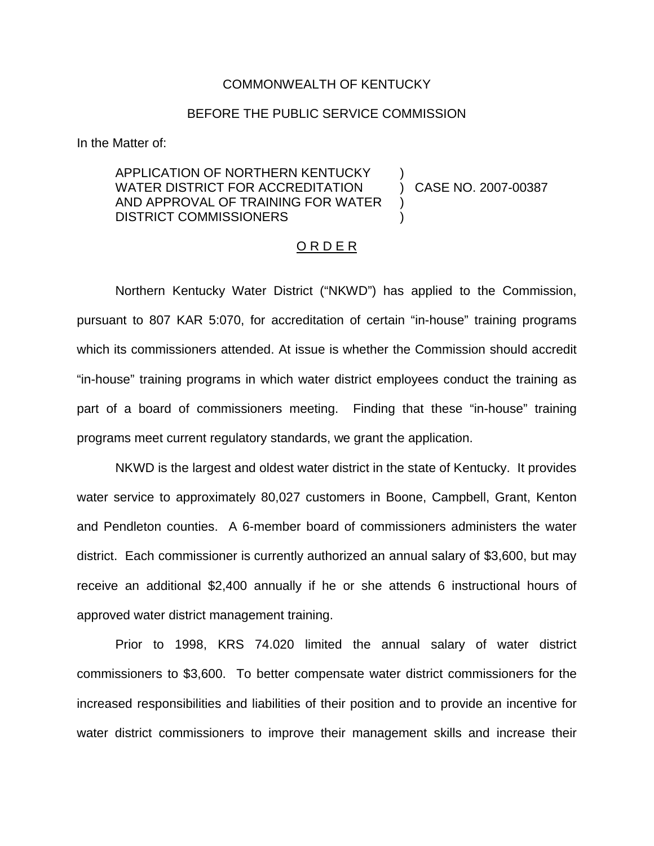## COMMONWEALTH OF KENTUCKY

## BEFORE THE PUBLIC SERVICE COMMISSION

In the Matter of:

## APPLICATION OF NORTHERN KENTUCKY WATER DISTRICT FOR ACCREDITATION AND APPROVAL OF TRAINING FOR WATER DISTRICT COMMISSIONERS

) CASE NO. 2007-00387

)

) )

#### O R D E R

Northern Kentucky Water District ("NKWD") has applied to the Commission, pursuant to 807 KAR 5:070, for accreditation of certain "in-house" training programs which its commissioners attended. At issue is whether the Commission should accredit "in-house" training programs in which water district employees conduct the training as part of a board of commissioners meeting. Finding that these "in-house" training programs meet current regulatory standards, we grant the application.

NKWD is the largest and oldest water district in the state of Kentucky. It provides water service to approximately 80,027 customers in Boone, Campbell, Grant, Kenton and Pendleton counties. A 6-member board of commissioners administers the water district. Each commissioner is currently authorized an annual salary of \$3,600, but may receive an additional \$2,400 annually if he or she attends 6 instructional hours of approved water district management training.

Prior to 1998, KRS 74.020 limited the annual salary of water district commissioners to \$3,600. To better compensate water district commissioners for the increased responsibilities and liabilities of their position and to provide an incentive for water district commissioners to improve their management skills and increase their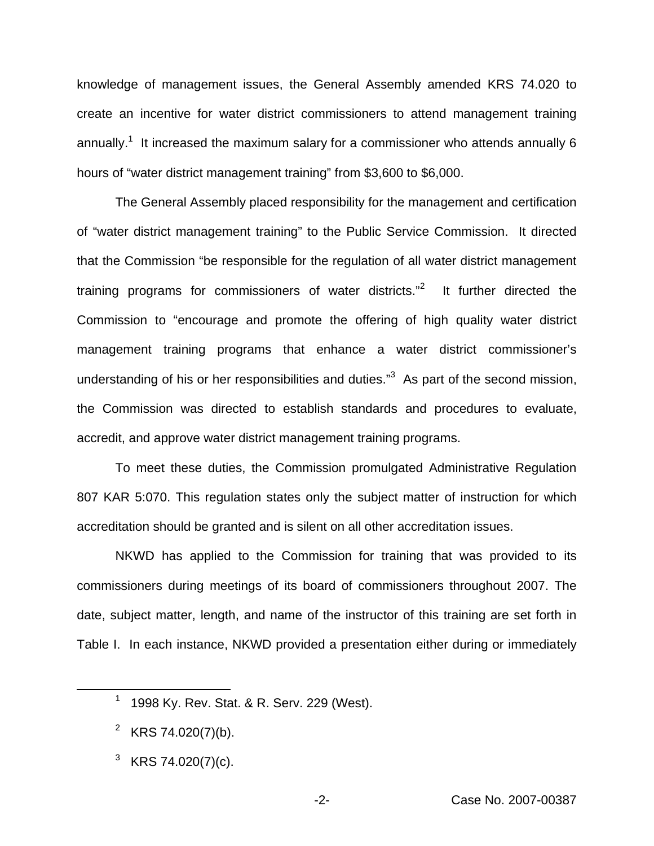knowledge of management issues, the General Assembly amended KRS 74.020 to create an incentive for water district commissioners to attend management training annually.<sup>1</sup> It increased the maximum salary for a commissioner who attends annually 6 hours of "water district management training" from \$3,600 to \$6,000.

The General Assembly placed responsibility for the management and certification of "water district management training" to the Public Service Commission. It directed that the Commission "be responsible for the regulation of all water district management training programs for commissioners of water districts."<sup>2</sup> It further directed the Commission to "encourage and promote the offering of high quality water district management training programs that enhance a water district commissioner's understanding of his or her responsibilities and duties."<sup>3</sup> As part of the second mission, the Commission was directed to establish standards and procedures to evaluate, accredit, and approve water district management training programs.

To meet these duties, the Commission promulgated Administrative Regulation 807 KAR 5:070. This regulation states only the subject matter of instruction for which accreditation should be granted and is silent on all other accreditation issues.

NKWD has applied to the Commission for training that was provided to its commissioners during meetings of its board of commissioners throughout 2007. The date, subject matter, length, and name of the instructor of this training are set forth in Table I. In each instance, NKWD provided a presentation either during or immediately

<sup>&</sup>lt;sup>1</sup> 1998 Ky. Rev. Stat. & R. Serv. 229 (West).

<sup>&</sup>lt;sup>2</sup> KRS 74.020(7)(b).

<sup>&</sup>lt;sup>3</sup> KRS 74.020(7)(c).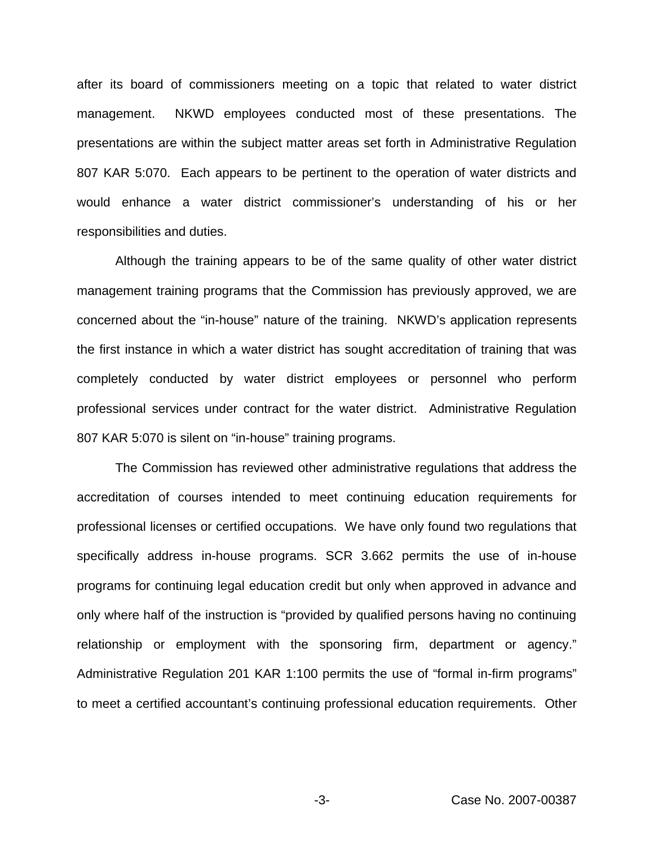after its board of commissioners meeting on a topic that related to water district management. NKWD employees conducted most of these presentations. The presentations are within the subject matter areas set forth in Administrative Regulation 807 KAR 5:070. Each appears to be pertinent to the operation of water districts and would enhance a water district commissioner's understanding of his or her responsibilities and duties.

Although the training appears to be of the same quality of other water district management training programs that the Commission has previously approved, we are concerned about the "in-house" nature of the training. NKWD's application represents the first instance in which a water district has sought accreditation of training that was completely conducted by water district employees or personnel who perform professional services under contract for the water district. Administrative Regulation 807 KAR 5:070 is silent on "in-house" training programs.

The Commission has reviewed other administrative regulations that address the accreditation of courses intended to meet continuing education requirements for professional licenses or certified occupations. We have only found two regulations that specifically address in-house programs. SCR 3.662 permits the use of in-house programs for continuing legal education credit but only when approved in advance and only where half of the instruction is "provided by qualified persons having no continuing relationship or employment with the sponsoring firm, department or agency." Administrative Regulation 201 KAR 1:100 permits the use of "formal in-firm programs" to meet a certified accountant's continuing professional education requirements. Other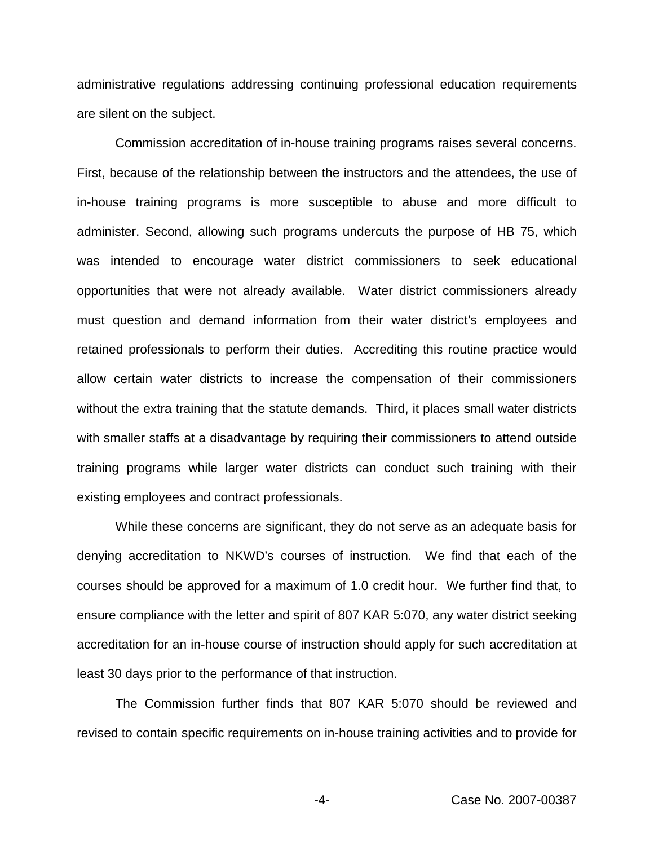administrative regulations addressing continuing professional education requirements are silent on the subject.

Commission accreditation of in-house training programs raises several concerns. First, because of the relationship between the instructors and the attendees, the use of in-house training programs is more susceptible to abuse and more difficult to administer. Second, allowing such programs undercuts the purpose of HB 75, which was intended to encourage water district commissioners to seek educational opportunities that were not already available. Water district commissioners already must question and demand information from their water district's employees and retained professionals to perform their duties. Accrediting this routine practice would allow certain water districts to increase the compensation of their commissioners without the extra training that the statute demands. Third, it places small water districts with smaller staffs at a disadvantage by requiring their commissioners to attend outside training programs while larger water districts can conduct such training with their existing employees and contract professionals.

While these concerns are significant, they do not serve as an adequate basis for denying accreditation to NKWD's courses of instruction. We find that each of the courses should be approved for a maximum of 1.0 credit hour. We further find that, to ensure compliance with the letter and spirit of 807 KAR 5:070, any water district seeking accreditation for an in-house course of instruction should apply for such accreditation at least 30 days prior to the performance of that instruction.

The Commission further finds that 807 KAR 5:070 should be reviewed and revised to contain specific requirements on in-house training activities and to provide for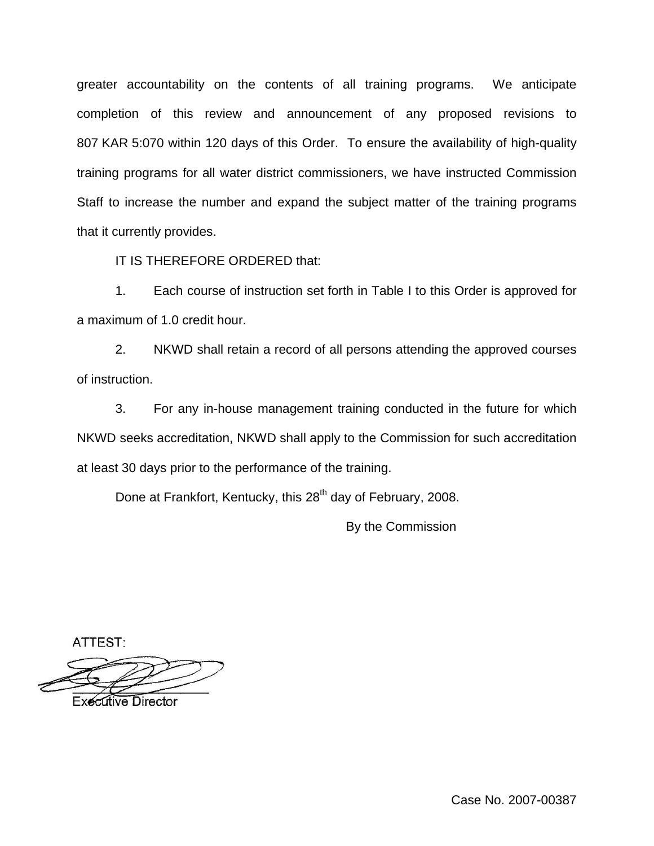greater accountability on the contents of all training programs. We anticipate completion of this review and announcement of any proposed revisions to 807 KAR 5:070 within 120 days of this Order. To ensure the availability of high-quality training programs for all water district commissioners, we have instructed Commission Staff to increase the number and expand the subject matter of the training programs that it currently provides.

IT IS THEREFORE ORDERED that:

1. Each course of instruction set forth in Table I to this Order is approved for a maximum of 1.0 credit hour.

2. NKWD shall retain a record of all persons attending the approved courses of instruction.

3. For any in-house management training conducted in the future for which NKWD seeks accreditation, NKWD shall apply to the Commission for such accreditation at least 30 days prior to the performance of the training.

Done at Frankfort, Kentucky, this 28<sup>th</sup> day of February, 2008.

By the Commission

ATTEST:

**Executive Director** 

Case No. 2007-00387